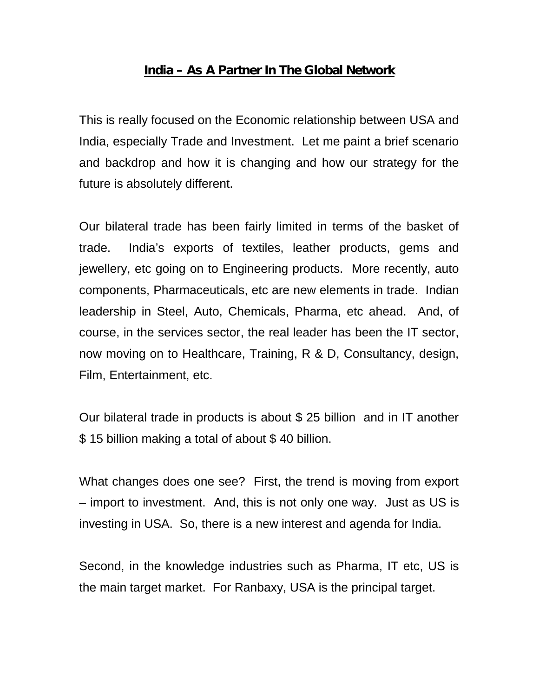## **India – As A Partner In The Global Network**

This is really focused on the Economic relationship between USA and India, especially Trade and Investment. Let me paint a brief scenario and backdrop and how it is changing and how our strategy for the future is absolutely different.

Our bilateral trade has been fairly limited in terms of the basket of trade. India's exports of textiles, leather products, gems and jewellery, etc going on to Engineering products. More recently, auto components, Pharmaceuticals, etc are new elements in trade. Indian leadership in Steel, Auto, Chemicals, Pharma, etc ahead. And, of course, in the services sector, the real leader has been the IT sector, now moving on to Healthcare, Training, R & D, Consultancy, design, Film, Entertainment, etc.

Our bilateral trade in products is about \$ 25 billion and in IT another \$ 15 billion making a total of about \$ 40 billion.

What changes does one see? First, the trend is moving from export – import to investment. And, this is not only one way. Just as US is investing in USA. So, there is a new interest and agenda for India.

Second, in the knowledge industries such as Pharma, IT etc, US is the main target market. For Ranbaxy, USA is the principal target.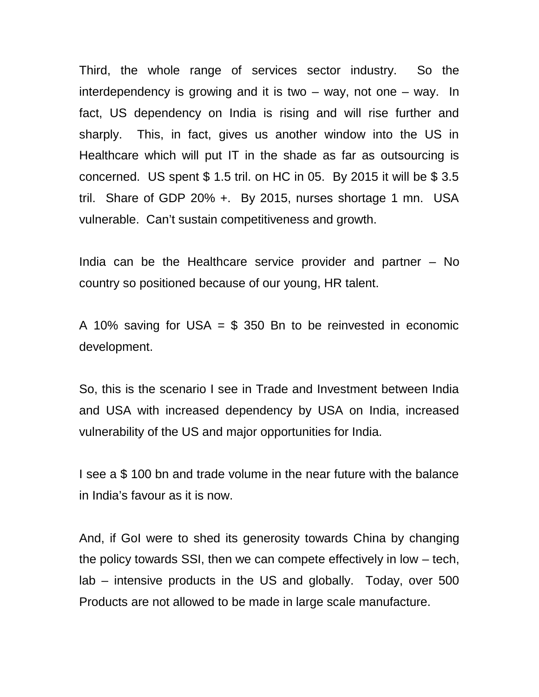Third, the whole range of services sector industry. So the interdependency is growing and it is two  $-$  way, not one  $-$  way. In fact, US dependency on India is rising and will rise further and sharply. This, in fact, gives us another window into the US in Healthcare which will put IT in the shade as far as outsourcing is concerned. US spent \$ 1.5 tril. on HC in 05. By 2015 it will be \$ 3.5 tril. Share of GDP 20% +. By 2015, nurses shortage 1 mn. USA vulnerable. Can't sustain competitiveness and growth.

India can be the Healthcare service provider and partner – No country so positioned because of our young, HR talent.

A 10% saving for USA  $=$  \$ 350 Bn to be reinvested in economic development.

So, this is the scenario I see in Trade and Investment between India and USA with increased dependency by USA on India, increased vulnerability of the US and major opportunities for India.

I see a \$ 100 bn and trade volume in the near future with the balance in India's favour as it is now.

And, if GoI were to shed its generosity towards China by changing the policy towards SSI, then we can compete effectively in low – tech, lab – intensive products in the US and globally. Today, over 500 Products are not allowed to be made in large scale manufacture.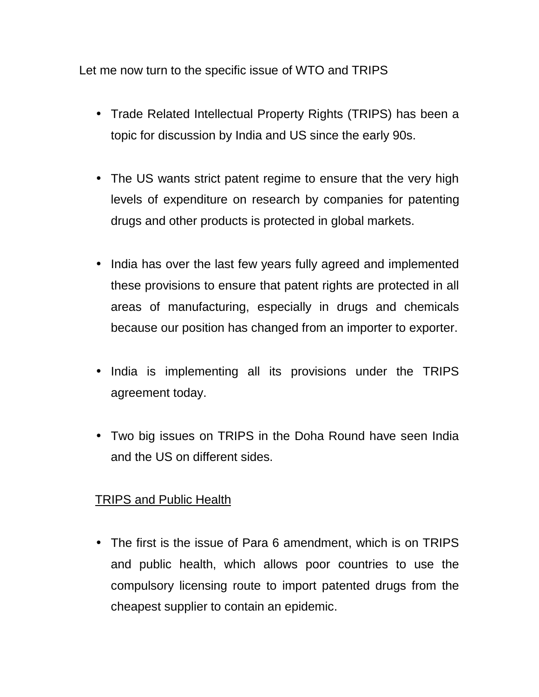Let me now turn to the specific issue of WTO and TRIPS

- Trade Related Intellectual Property Rights (TRIPS) has been a topic for discussion by India and US since the early 90s.
- The US wants strict patent regime to ensure that the very high levels of expenditure on research by companies for patenting drugs and other products is protected in global markets.
- India has over the last few years fully agreed and implemented these provisions to ensure that patent rights are protected in all areas of manufacturing, especially in drugs and chemicals because our position has changed from an importer to exporter.
- I India is implementing all its provisions under the TRIPS agreement today.
- Two big issues on TRIPS in the Doha Round have seen India and the US on different sides.

## TRIPS and Public Health

 The first is the issue of Para 6 amendment, which is on TRIPS and public health, which allows poor countries to use the compulsory licensing route to import patented drugs from the cheapest supplier to contain an epidemic.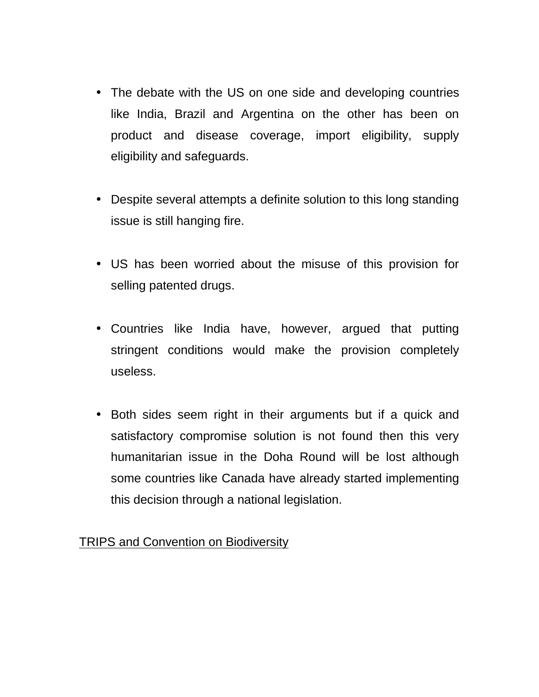- The debate with the US on one side and developing countries like India, Brazil and Argentina on the other has been on product and disease coverage, import eligibility, supply eligibility and safeguards.
- Despite several attempts a definite solution to this long standing issue is still hanging fire.
- US has been worried about the misuse of this provision for selling patented drugs.
- Countries like India have, however, argued that putting stringent conditions would make the provision completely useless.
- Both sides seem right in their arguments but if a quick and satisfactory compromise solution is not found then this very humanitarian issue in the Doha Round will be lost although some countries like Canada have already started implementing this decision through a national legislation.

## TRIPS and Convention on Biodiversity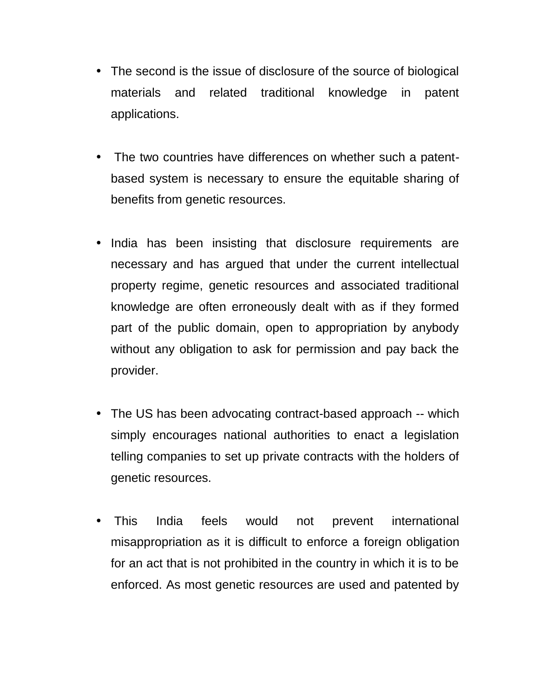- The second is the issue of disclosure of the source of biological materials and related traditional knowledge in patent applications.
- The two countries have differences on whether such a patent based system is necessary to ensure the equitable sharing of benefits from genetic resources.
- India has been insisting that disclosure requirements are necessary and has argued that under the current intellectual property regime, genetic resources and associated traditional knowledge are often erroneously dealt with as if they formed part of the public domain, open to appropriation by anybody without any obligation to ask for permission and pay back the provider.
- The US has been advocating contract-based approach -- which simply encourages national authorities to enact a legislation telling companies to set up private contracts with the holders of genetic resources.
- This India feels would not prevent international misappropriation as it is difficult to enforce a foreign obligation for an act that is not prohibited in the country in which it is to be enforced. As most genetic resources are used and patented by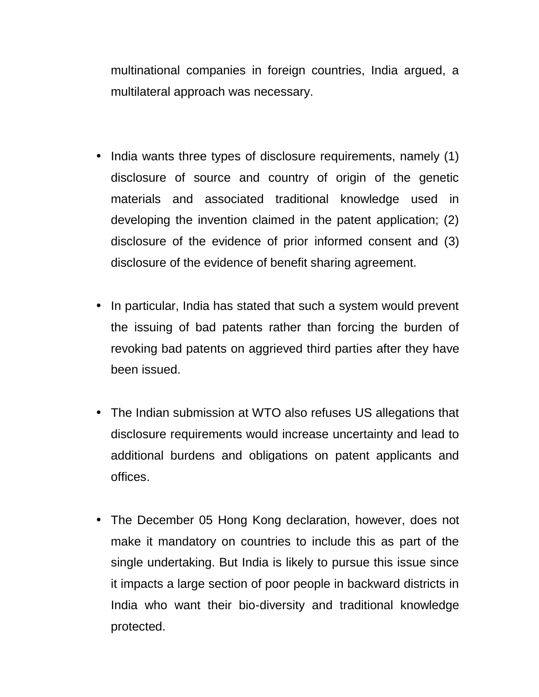multinational companies in foreign countries, India argued, a multilateral approach was necessary.

- India wants three types of disclosure requirements, namely (1) disclosure of source and country of origin of the genetic materials and associated traditional knowledge used in developing the invention claimed in the patent application; (2) disclosure of the evidence of prior informed consent and (3) disclosure of the evidence of benefit sharing agreement.
- In particular, India has stated that such a system would prevent the issuing of bad patents rather than forcing the burden of revoking bad patents on aggrieved third parties after they have been issued.
- The Indian submission at WTO also refuses US allegations that disclosure requirements would increase uncertainty and lead to additional burdens and obligations on patent applicants and offices.
- The December 05 Hong Kong declaration, however, does not make it mandatory on countries to include this as part of the single undertaking. But India is likely to pursue this issue since it impacts a large section of poor people in backward districts in India who want their bio-diversity and traditional knowledge protected.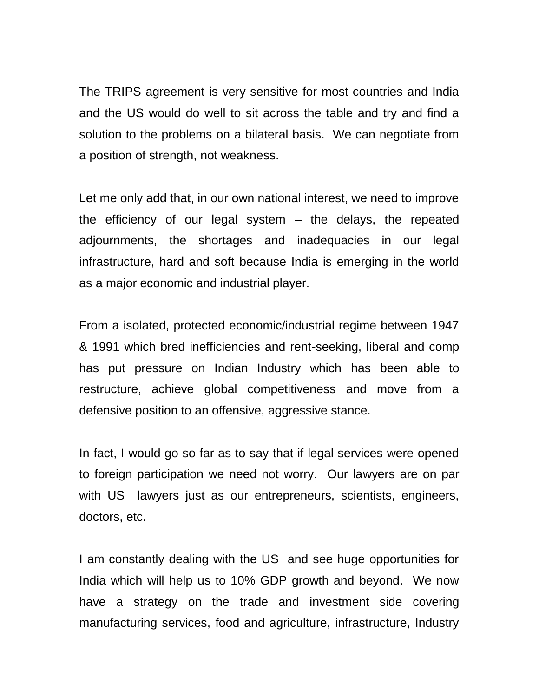The TRIPS agreement is very sensitive for most countries and India and the US would do well to sit across the table and try and find a solution to the problems on a bilateral basis. We can negotiate from a position of strength, not weakness.

Let me only add that, in our own national interest, we need to improve the efficiency of our legal system – the delays, the repeated adjournments, the shortages and inadequacies in our legal infrastructure, hard and soft because India is emerging in the world as a major economic and industrial player.

From a isolated, protected economic/industrial regime between 1947 & 1991 which bred inefficiencies and rent-seeking, liberal and comp has put pressure on Indian Industry which has been able to restructure, achieve global competitiveness and move from a defensive position to an offensive, aggressive stance.

In fact, I would go so far as to say that if legal services were opened to foreign participation we need not worry. Our lawyers are on par with US lawyers just as our entrepreneurs, scientists, engineers, doctors, etc.

I am constantly dealing with the US and see huge opportunities for India which will help us to 10% GDP growth and beyond. We now have a strategy on the trade and investment side covering manufacturing services, food and agriculture, infrastructure, Industry